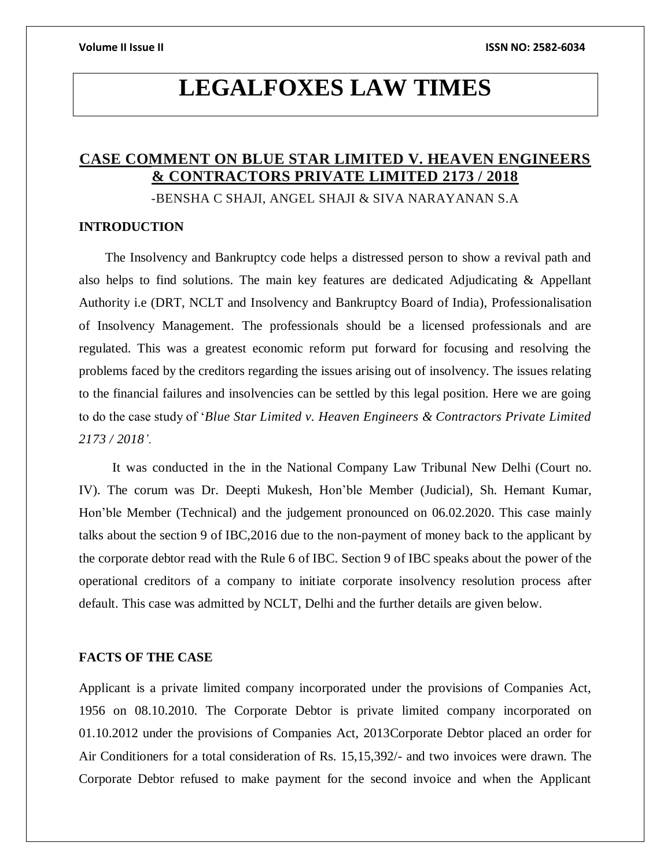# **LEGALFOXES LAW TIMES**

# **CASE COMMENT ON BLUE STAR LIMITED V. HEAVEN ENGINEERS & CONTRACTORS PRIVATE LIMITED 2173 / 2018**

-BENSHA C SHAJI, ANGEL SHAJI & SIVA NARAYANAN S.A

# **INTRODUCTION**

The Insolvency and Bankruptcy code helps a distressed person to show a revival path and also helps to find solutions. The main key features are dedicated Adjudicating & Appellant Authority i.e (DRT, NCLT and Insolvency and Bankruptcy Board of India), Professionalisation of Insolvency Management. The professionals should be a licensed professionals and are regulated. This was a greatest economic reform put forward for focusing and resolving the problems faced by the creditors regarding the issues arising out of insolvency. The issues relating to the financial failures and insolvencies can be settled by this legal position. Here we are going to do the case study of '*Blue Star Limited v. Heaven Engineers & Contractors Private Limited 2173 / 2018'.*

It was conducted in the in the National Company Law Tribunal New Delhi (Court no. IV). The corum was Dr. Deepti Mukesh, Hon'ble Member (Judicial), Sh. Hemant Kumar, Hon'ble Member (Technical) and the judgement pronounced on 06.02.2020. This case mainly talks about the section 9 of IBC,2016 due to the non-payment of money back to the applicant by the corporate debtor read with the Rule 6 of IBC. Section 9 of IBC speaks about the power of the operational creditors of a company to initiate corporate insolvency resolution process after default. This case was admitted by NCLT, Delhi and the further details are given below.

# **FACTS OF THE CASE**

Applicant is a private limited company incorporated under the provisions of Companies Act, 1956 on 08.10.2010. The Corporate Debtor is private limited company incorporated on 01.10.2012 under the provisions of Companies Act, 2013Corporate Debtor placed an order for Air Conditioners for a total consideration of Rs. 15,15,392/- and two invoices were drawn. The Corporate Debtor refused to make payment for the second invoice and when the Applicant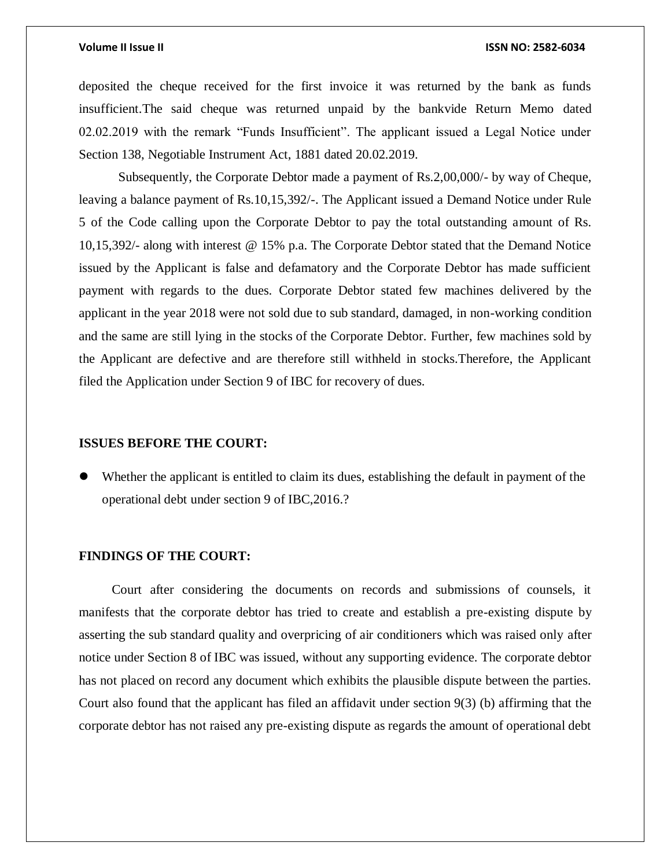### **Volume II Issue II ISSN NO: 2582-6034**

deposited the cheque received for the first invoice it was returned by the bank as funds insufficient.The said cheque was returned unpaid by the bankvide Return Memo dated 02.02.2019 with the remark "Funds Insufficient". The applicant issued a Legal Notice under Section 138, Negotiable Instrument Act, 1881 dated 20.02.2019.

Subsequently, the Corporate Debtor made a payment of Rs.2,00,000/- by way of Cheque, leaving a balance payment of Rs.10,15,392/-. The Applicant issued a Demand Notice under Rule 5 of the Code calling upon the Corporate Debtor to pay the total outstanding amount of Rs. 10,15,392/- along with interest @ 15% p.a. The Corporate Debtor stated that the Demand Notice issued by the Applicant is false and defamatory and the Corporate Debtor has made sufficient payment with regards to the dues. Corporate Debtor stated few machines delivered by the applicant in the year 2018 were not sold due to sub standard, damaged, in non-working condition and the same are still lying in the stocks of the Corporate Debtor. Further, few machines sold by the Applicant are defective and are therefore still withheld in stocks.Therefore, the Applicant filed the Application under Section 9 of IBC for recovery of dues.

## **ISSUES BEFORE THE COURT:**

 Whether the applicant is entitled to claim its dues, establishing the default in payment of the operational debt under section 9 of IBC,2016.?

# **FINDINGS OF THE COURT:**

Court after considering the documents on records and submissions of counsels, it manifests that the corporate debtor has tried to create and establish a pre-existing dispute by asserting the sub standard quality and overpricing of air conditioners which was raised only after notice under Section 8 of IBC was issued, without any supporting evidence. The corporate debtor has not placed on record any document which exhibits the plausible dispute between the parties. Court also found that the applicant has filed an affidavit under section 9(3) (b) affirming that the corporate debtor has not raised any pre-existing dispute as regards the amount of operational debt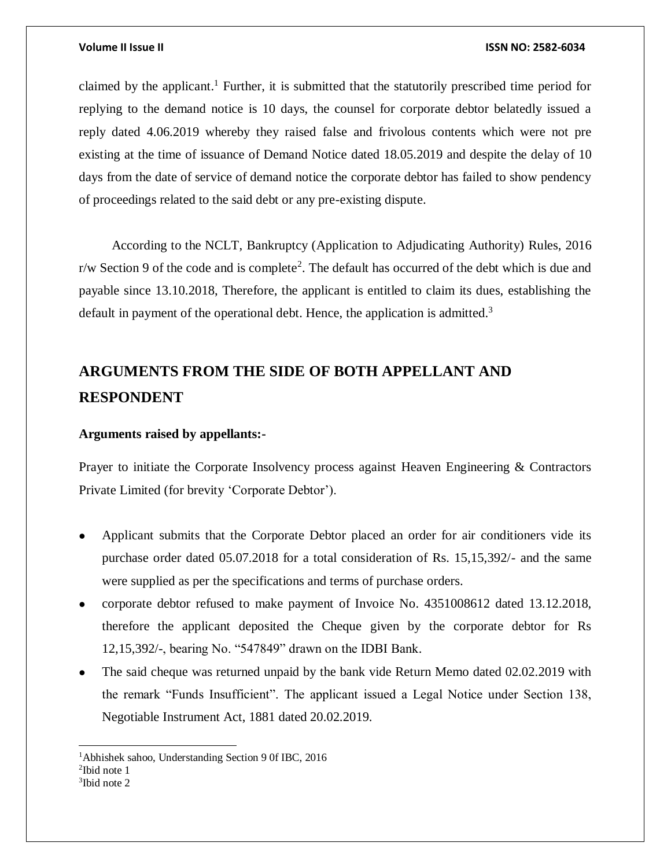### **Volume II Issue II ISSN NO: 2582-6034**

claimed by the applicant. <sup>1</sup> Further, it is submitted that the statutorily prescribed time period for replying to the demand notice is 10 days, the counsel for corporate debtor belatedly issued a reply dated 4.06.2019 whereby they raised false and frivolous contents which were not pre existing at the time of issuance of Demand Notice dated 18.05.2019 and despite the delay of 10 days from the date of service of demand notice the corporate debtor has failed to show pendency of proceedings related to the said debt or any pre-existing dispute.

According to the NCLT, Bankruptcy (Application to Adjudicating Authority) Rules, 2016  $r/w$  Section 9 of the code and is complete<sup>2</sup>. The default has occurred of the debt which is due and payable since 13.10.2018, Therefore, the applicant is entitled to claim its dues, establishing the default in payment of the operational debt. Hence, the application is admitted.<sup>3</sup>

# **ARGUMENTS FROM THE SIDE OF BOTH APPELLANT AND RESPONDENT**

# **Arguments raised by appellants:-**

Prayer to initiate the Corporate Insolvency process against Heaven Engineering & Contractors Private Limited (for brevity 'Corporate Debtor').

- Applicant submits that the Corporate Debtor placed an order for air conditioners vide its purchase order dated 05.07.2018 for a total consideration of Rs. 15,15,392/- and the same were supplied as per the specifications and terms of purchase orders.
- corporate debtor refused to make payment of Invoice No. 4351008612 dated 13.12.2018, therefore the applicant deposited the Cheque given by the corporate debtor for Rs 12,15,392/-, bearing No. "547849" drawn on the IDBI Bank.
- The said cheque was returned unpaid by the bank vide Return Memo dated 02.02.2019 with the remark "Funds Insufficient". The applicant issued a Legal Notice under Section 138, Negotiable Instrument Act, 1881 dated 20.02.2019.

 $\overline{a}$ 

<sup>1</sup>Abhishek sahoo, Understanding Section 9 0f IBC, 2016

<sup>2</sup> Ibid note 1

<sup>3</sup> Ibid note 2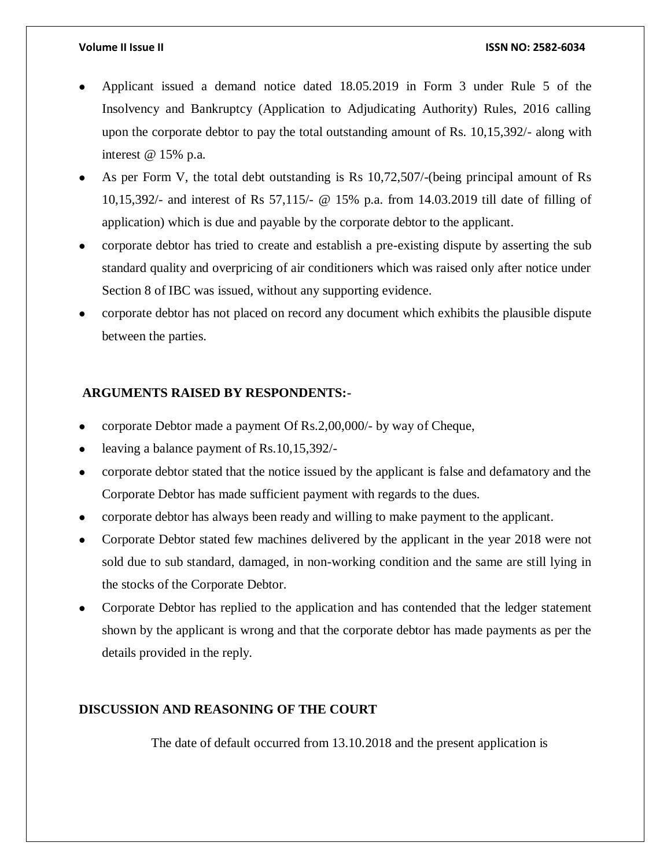- Applicant issued a demand notice dated 18.05.2019 in Form 3 under Rule 5 of the Insolvency and Bankruptcy (Application to Adjudicating Authority) Rules, 2016 calling upon the corporate debtor to pay the total outstanding amount of Rs. 10,15,392/- along with interest @ 15% p.a.
- As per Form V, the total debt outstanding is Rs 10,72,507/-(being principal amount of Rs 10,15,392/- and interest of Rs 57,115/- @ 15% p.a. from 14.03.2019 till date of filling of application) which is due and payable by the corporate debtor to the applicant.
- corporate debtor has tried to create and establish a pre-existing dispute by asserting the sub standard quality and overpricing of air conditioners which was raised only after notice under Section 8 of IBC was issued, without any supporting evidence.
- corporate debtor has not placed on record any document which exhibits the plausible dispute between the parties.

# **ARGUMENTS RAISED BY RESPONDENTS:-**

- corporate Debtor made a payment Of Rs.2,00,000/- by way of Cheque,
- leaving a balance payment of Rs.10,15,392/-
- corporate debtor stated that the notice issued by the applicant is false and defamatory and the Corporate Debtor has made sufficient payment with regards to the dues.
- corporate debtor has always been ready and willing to make payment to the applicant.
- Corporate Debtor stated few machines delivered by the applicant in the year 2018 were not sold due to sub standard, damaged, in non-working condition and the same are still lying in the stocks of the Corporate Debtor.
- Corporate Debtor has replied to the application and has contended that the ledger statement shown by the applicant is wrong and that the corporate debtor has made payments as per the details provided in the reply.

# **DISCUSSION AND REASONING OF THE COURT**

The date of default occurred from 13.10.2018 and the present application is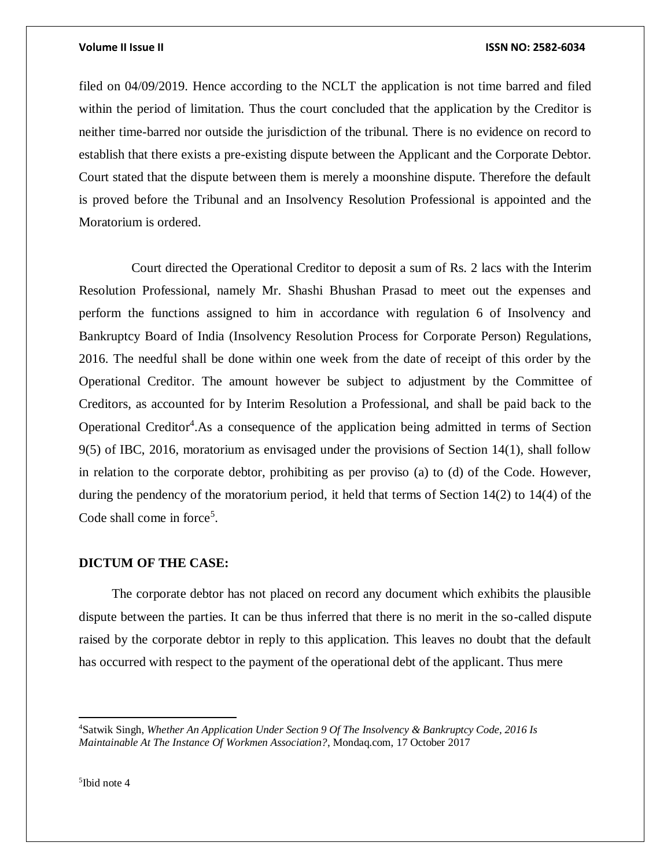### **Volume II Issue II ISSN NO: 2582-6034**

filed on 04/09/2019. Hence according to the NCLT the application is not time barred and filed within the period of limitation. Thus the court concluded that the application by the Creditor is neither time-barred nor outside the jurisdiction of the tribunal. There is no evidence on record to establish that there exists a pre-existing dispute between the Applicant and the Corporate Debtor. Court stated that the dispute between them is merely a moonshine dispute. Therefore the default is proved before the Tribunal and an Insolvency Resolution Professional is appointed and the Moratorium is ordered.

Court directed the Operational Creditor to deposit a sum of Rs. 2 lacs with the Interim Resolution Professional, namely Mr. Shashi Bhushan Prasad to meet out the expenses and perform the functions assigned to him in accordance with regulation 6 of Insolvency and Bankruptcy Board of India (Insolvency Resolution Process for Corporate Person) Regulations, 2016. The needful shall be done within one week from the date of receipt of this order by the Operational Creditor. The amount however be subject to adjustment by the Committee of Creditors, as accounted for by Interim Resolution a Professional, and shall be paid back to the Operational Creditor<sup>4</sup>. As a consequence of the application being admitted in terms of Section 9(5) of IBC, 2016, moratorium as envisaged under the provisions of Section 14(1), shall follow in relation to the corporate debtor, prohibiting as per proviso (a) to (d) of the Code. However, during the pendency of the moratorium period, it held that terms of Section 14(2) to 14(4) of the Code shall come in force<sup>5</sup>.

## **DICTUM OF THE CASE:**

The corporate debtor has not placed on record any document which exhibits the plausible dispute between the parties. It can be thus inferred that there is no merit in the so-called dispute raised by the corporate debtor in reply to this application. This leaves no doubt that the default has occurred with respect to the payment of the operational debt of the applicant. Thus mere

5 Ibid note 4

 $\overline{a}$ 

<sup>4</sup>Satwik Singh, *Whether An Application Under Section 9 Of The Insolvency & Bankruptcy Code, 2016 Is Maintainable At The Instance Of Workmen Association?*, Mondaq.com, 17 October 2017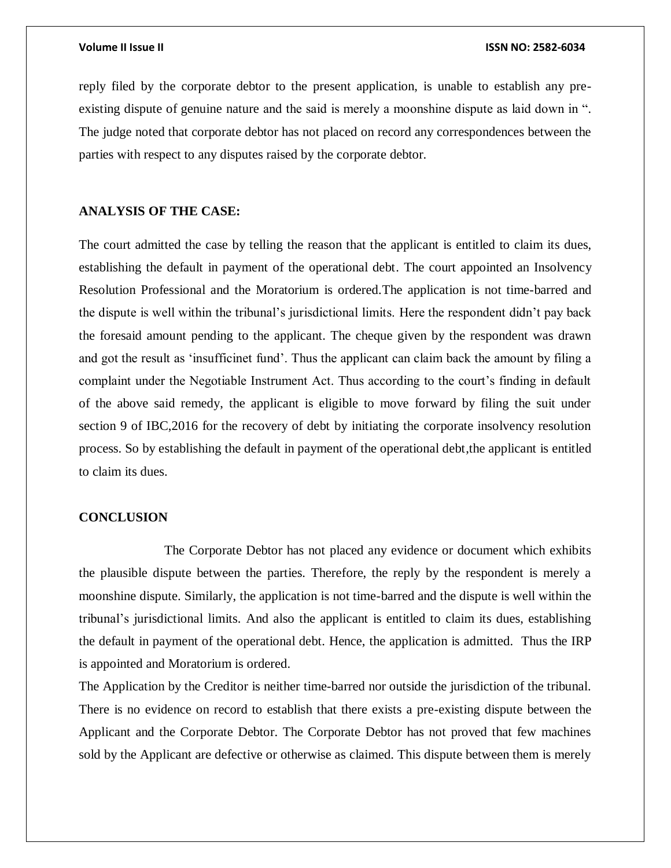reply filed by the corporate debtor to the present application, is unable to establish any preexisting dispute of genuine nature and the said is merely a moonshine dispute as laid down in ". The judge noted that corporate debtor has not placed on record any correspondences between the parties with respect to any disputes raised by the corporate debtor.

# **ANALYSIS OF THE CASE:**

The court admitted the case by telling the reason that the applicant is entitled to claim its dues, establishing the default in payment of the operational debt. The court appointed an Insolvency Resolution Professional and the Moratorium is ordered.The application is not time-barred and the dispute is well within the tribunal's jurisdictional limits. Here the respondent didn't pay back the foresaid amount pending to the applicant. The cheque given by the respondent was drawn and got the result as 'insufficinet fund'. Thus the applicant can claim back the amount by filing a complaint under the Negotiable Instrument Act. Thus according to the court's finding in default of the above said remedy, the applicant is eligible to move forward by filing the suit under section 9 of IBC,2016 for the recovery of debt by initiating the corporate insolvency resolution process. So by establishing the default in payment of the operational debt,the applicant is entitled to claim its dues.

# **CONCLUSION**

The Corporate Debtor has not placed any evidence or document which exhibits the plausible dispute between the parties. Therefore, the reply by the respondent is merely a moonshine dispute. Similarly, the application is not time-barred and the dispute is well within the tribunal's jurisdictional limits. And also the applicant is entitled to claim its dues, establishing the default in payment of the operational debt. Hence, the application is admitted. Thus the IRP is appointed and Moratorium is ordered.

The Application by the Creditor is neither time-barred nor outside the jurisdiction of the tribunal. There is no evidence on record to establish that there exists a pre-existing dispute between the Applicant and the Corporate Debtor. The Corporate Debtor has not proved that few machines sold by the Applicant are defective or otherwise as claimed. This dispute between them is merely